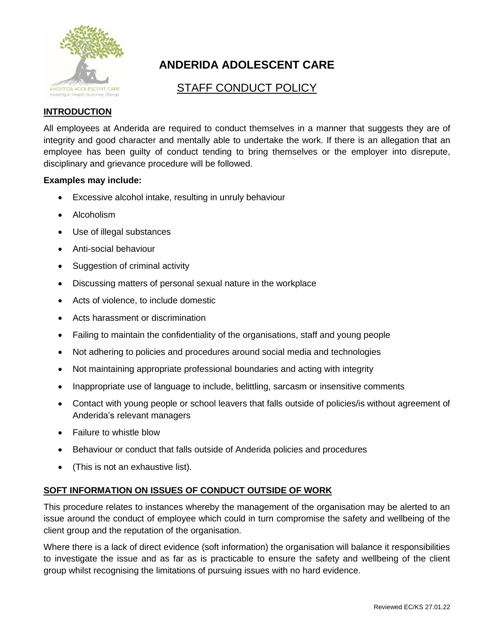

# **ANDERIDA ADOLESCENT CARE**

# STAFF CONDUCT POLICY

## **INTRODUCTION**

All employees at Anderida are required to conduct themselves in a manner that suggests they are of integrity and good character and mentally able to undertake the work. If there is an allegation that an employee has been guilty of conduct tending to bring themselves or the employer into disrepute, disciplinary and grievance procedure will be followed.

#### **Examples may include:**

- Excessive alcohol intake, resulting in unruly behaviour
- Alcoholism
- Use of illegal substances
- Anti-social behaviour
- Suggestion of criminal activity
- Discussing matters of personal sexual nature in the workplace
- Acts of violence, to include domestic
- Acts harassment or discrimination
- Failing to maintain the confidentiality of the organisations, staff and young people
- Not adhering to policies and procedures around social media and technologies
- Not maintaining appropriate professional boundaries and acting with integrity
- Inappropriate use of language to include, belittling, sarcasm or insensitive comments
- Contact with young people or school leavers that falls outside of policies/is without agreement of Anderida's relevant managers
- Failure to whistle blow
- Behaviour or conduct that falls outside of Anderida policies and procedures
- (This is not an exhaustive list).

### **SOFT INFORMATION ON ISSUES OF CONDUCT OUTSIDE OF WORK**

This procedure relates to instances whereby the management of the organisation may be alerted to an issue around the conduct of employee which could in turn compromise the safety and wellbeing of the client group and the reputation of the organisation.

Where there is a lack of direct evidence (soft information) the organisation will balance it responsibilities to investigate the issue and as far as is practicable to ensure the safety and wellbeing of the client group whilst recognising the limitations of pursuing issues with no hard evidence.